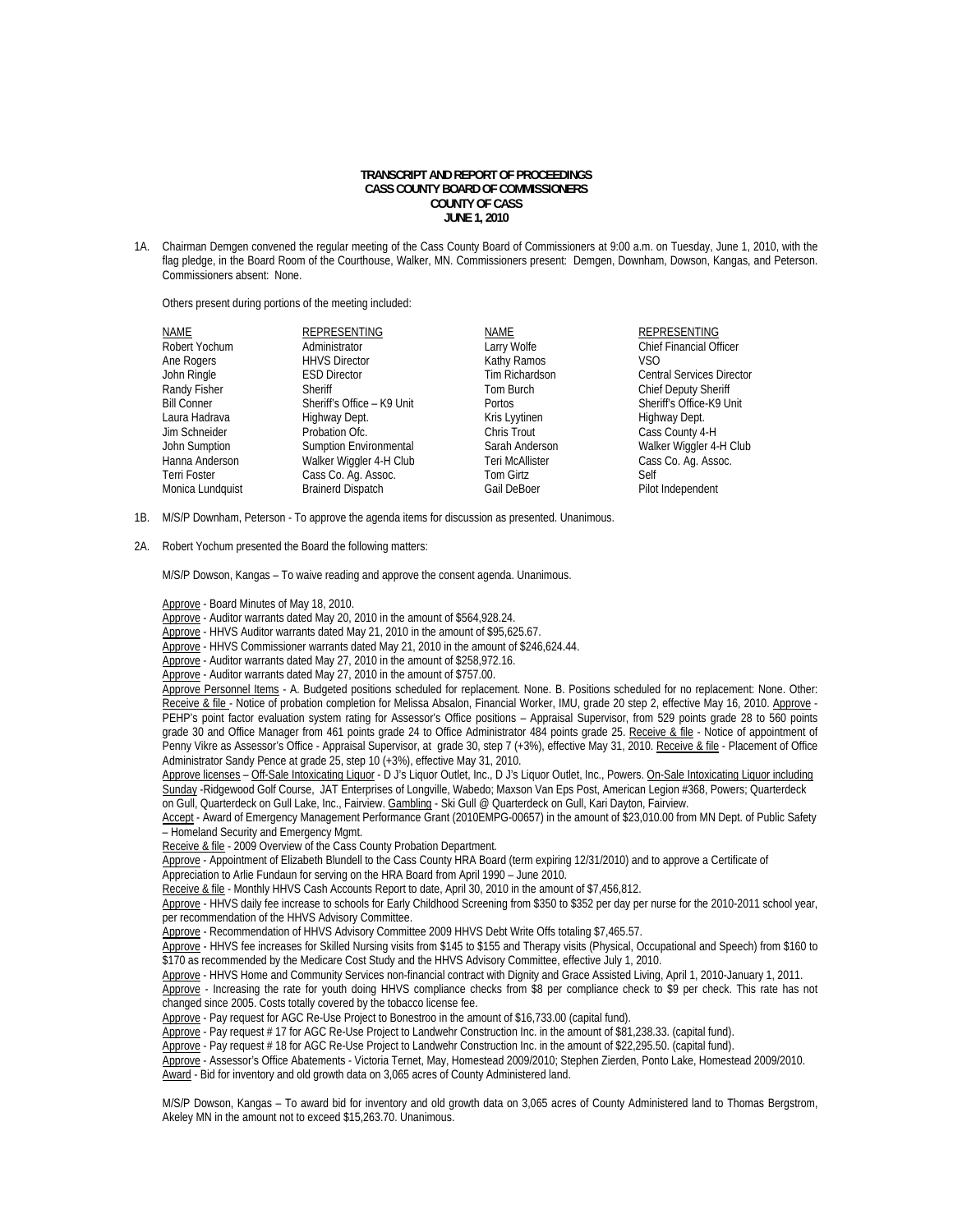## **TRANSCRIPT AND REPORT OF PROCEEDINGS CASS COUNTY BOARD OF COMMISSIONERS COUNTY OF CASS JUNE 1, 2010**

1A. Chairman Demgen convened the regular meeting of the Cass County Board of Commissioners at 9:00 a.m. on Tuesday, June 1, 2010, with the flag pledge, in the Board Room of the Courthouse, Walker, MN. Commissioners present: Demgen, Downham, Dowson, Kangas, and Peterson. Commissioners absent: None.

Others present during portions of the meeting included:

| <b>NAME</b>        | <b>REPRESENTING</b>           | <b>NAME</b>            | REPRESENTING                     |
|--------------------|-------------------------------|------------------------|----------------------------------|
| Robert Yochum      | Administrator                 | Larry Wolfe            | <b>Chief Financial Officer</b>   |
| Ane Rogers         | <b>HHVS Director</b>          | Kathy Ramos            | VSO.                             |
| John Ringle        | <b>ESD Director</b>           | Tim Richardson         | <b>Central Services Director</b> |
| Randy Fisher       | Sheriff                       | Tom Burch              | <b>Chief Deputy Sheriff</b>      |
| <b>Bill Conner</b> | Sheriff's Office - K9 Unit    | Portos                 | Sheriff's Office-K9 Unit         |
| Laura Hadrava      | Highway Dept.                 | Kris Lyytinen          | Highway Dept.                    |
| Jim Schneider      | Probation Ofc.                | Chris Trout            | Cass County 4-H                  |
| John Sumption      | <b>Sumption Environmental</b> | Sarah Anderson         | Walker Wiggler 4-H Club          |
| Hanna Anderson     | Walker Wiggler 4-H Club       | <b>Teri McAllister</b> | Cass Co. Ag. Assoc.              |
| Terri Foster       | Cass Co. Ag. Assoc.           | Tom Girtz              | Self                             |
| Monica Lundquist   | <b>Brainerd Dispatch</b>      | Gail DeBoer            | Pilot Independent                |

- 1B. M/S/P Downham, Peterson To approve the agenda items for discussion as presented. Unanimous.
- 2A. Robert Yochum presented the Board the following matters:

M/S/P Dowson, Kangas – To waive reading and approve the consent agenda. Unanimous.

- Approve Board Minutes of May 18, 2010.
- Approve Auditor warrants dated May 20, 2010 in the amount of \$564,928.24.

Approve - HHVS Auditor warrants dated May 21, 2010 in the amount of \$95,625.67.

- Approve HHVS Commissioner warrants dated May 21, 2010 in the amount of \$246,624.44.
- Approve Auditor warrants dated May 27, 2010 in the amount of \$258,972.16.
- Approve Auditor warrants dated May 27, 2010 in the amount of \$757.00.

Approve Personnel Items - A. Budgeted positions scheduled for replacement. None. B. Positions scheduled for no replacement: None. Other: Receive & file - Notice of probation completion for Melissa Absalon, Financial Worker, IMU, grade 20 step 2, effective May 16, 2010. Approve -PEHP's point factor evaluation system rating for Assessor's Office positions – Appraisal Supervisor, from 529 points grade 28 to 560 points grade 30 and Office Manager from 461 points grade 24 to Office Administrator 484 points grade 25. Receive & file - Notice of appointment of Penny Vikre as Assessor's Office - Appraisal Supervisor, at grade 30, step 7 (+3%), effective May 31, 2010. Receive & file - Placement of Office Administrator Sandy Pence at grade 25, step 10 (+3%), effective May 31, 2010.

Approve licenses - Off-Sale Intoxicating Liquor - D J's Liquor Outlet, Inc., D J's Liquor Outlet, Inc., Powers. On-Sale Intoxicating Liquor including Sunday -Ridgewood Golf Course, JAT Enterprises of Longville, Wabedo; Maxson Van Eps Post, American Legion #368, Powers; Quarterdeck on Gull, Quarterdeck on Gull Lake, Inc., Fairview. Gambling - Ski Gull @ Quarterdeck on Gull, Kari Dayton, Fairview.

Accept - Award of Emergency Management Performance Grant (2010EMPG-00657) in the amount of \$23,010.00 from MN Dept. of Public Safety – Homeland Security and Emergency Mgmt.

Receive & file - 2009 Overview of the Cass County Probation Department.

 Approve - Appointment of Elizabeth Blundell to the Cass County HRA Board (term expiring 12/31/2010) and to approve a Certificate of Appreciation to Arlie Fundaun for serving on the HRA Board from April 1990 – June 2010.

Receive & file - Monthly HHVS Cash Accounts Report to date, April 30, 2010 in the amount of \$7,456,812.

Approve - HHVS daily fee increase to schools for Early Childhood Screening from \$350 to \$352 per day per nurse for the 2010-2011 school year, per recommendation of the HHVS Advisory Committee.

Approve - Recommendation of HHVS Advisory Committee 2009 HHVS Debt Write Offs totaling \$7,465.57.

 Approve - HHVS fee increases for Skilled Nursing visits from \$145 to \$155 and Therapy visits (Physical, Occupational and Speech) from \$160 to \$170 as recommended by the Medicare Cost Study and the HHVS Advisory Committee, effective July 1, 2010.

Approve - HHVS Home and Community Services non-financial contract with Dignity and Grace Assisted Living, April 1, 2010-January 1, 2011. Approve - Increasing the rate for youth doing HHVS compliance checks from \$8 per compliance check to \$9 per check. This rate has not changed since 2005. Costs totally covered by the tobacco license fee.

Approve - Pay request for AGC Re-Use Project to Bonestroo in the amount of \$16,733.00 (capital fund)

Approve - Pay request # 17 for AGC Re-Use Project to Landwehr Construction Inc. in the amount of \$81,238.33. (capital fund).

Approve - Pay request # 18 for AGC Re-Use Project to Landwehr Construction Inc. in the amount of \$22,295.50. (capital fund).

 Approve - Assessor's Office Abatements - Victoria Ternet, May, Homestead 2009/2010; Stephen Zierden, Ponto Lake, Homestead 2009/2010. Award - Bid for inventory and old growth data on 3,065 acres of County Administered land.

M/S/P Dowson, Kangas – To award bid for inventory and old growth data on 3,065 acres of County Administered land to Thomas Bergstrom, Akeley MN in the amount not to exceed \$15,263.70. Unanimous.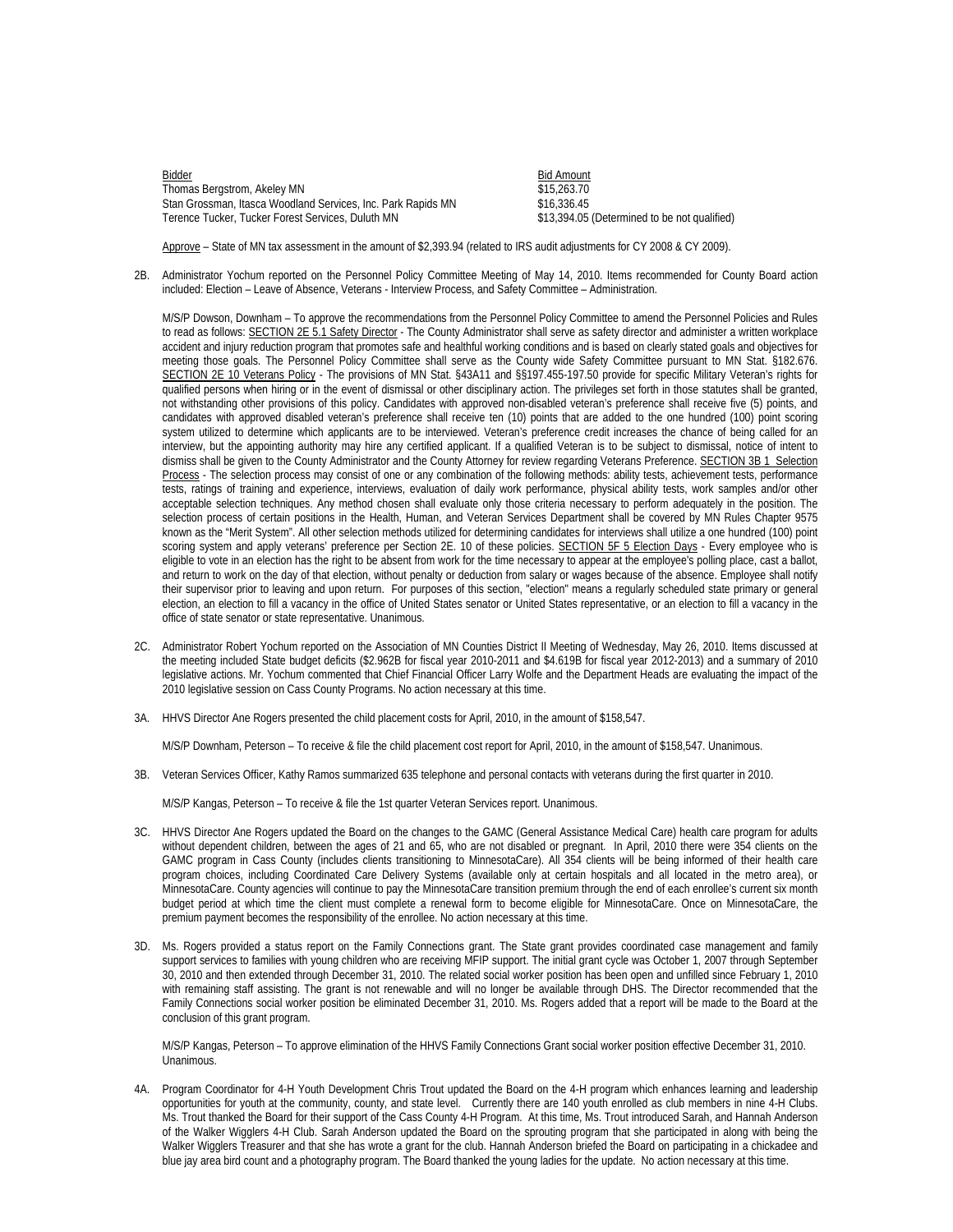Bidder Bidder Bidder Bidder Bidder Bidder Bidder Bidder Bidder Bidder Bidder Bidder Bidder Bidder Bidder Bidder Thomas Bergstrom, Akeley MN  $$15,263.70$ Stan Grossman, Itasca Woodland Services, Inc. Park Rapids MN  $$16,336.45$ <br>Terence Tucker, Tucker Forest Services, Duluth MN (States and S13,394.05 (Determined to be not qualified) Terence Tucker, Tucker Forest Services, Duluth MN

Approve – State of MN tax assessment in the amount of \$2,393.94 (related to IRS audit adjustments for CY 2008 & CY 2009).

2B. Administrator Yochum reported on the Personnel Policy Committee Meeting of May 14, 2010. Items recommended for County Board action included: Election – Leave of Absence, Veterans - Interview Process, and Safety Committee – Administration.

M/S/P Dowson, Downham – To approve the recommendations from the Personnel Policy Committee to amend the Personnel Policies and Rules to read as follows: SECTION 2E 5.1 Safety Director - The County Administrator shall serve as safety director and administer a written workplace accident and injury reduction program that promotes safe and healthful working conditions and is based on clearly stated goals and objectives for meeting those goals. The Personnel Policy Committee shall serve as the County wide Safety Committee pursuant to MN Stat. §182.676. SECTION 2E 10 Veterans Policy - The provisions of MN Stat. §43A11 and §§197.455-197.50 provide for specific Military Veteran's rights for qualified persons when hiring or in the event of dismissal or other disciplinary action. The privileges set forth in those statutes shall be granted, not withstanding other provisions of this policy. Candidates with approved non-disabled veteran's preference shall receive five (5) points, and candidates with approved disabled veteran's preference shall receive ten (10) points that are added to the one hundred (100) point scoring system utilized to determine which applicants are to be interviewed. Veteran's preference credit increases the chance of being called for an interview, but the appointing authority may hire any certified applicant. If a qualified Veteran is to be subject to dismissal, notice of intent to dismiss shall be given to the County Administrator and the County Attorney for review regarding Veterans Preference. SECTION 3B 1 Selection Process - The selection process may consist of one or any combination of the following methods: ability tests, achievement tests, performance tests, ratings of training and experience, interviews, evaluation of daily work performance, physical ability tests, work samples and/or other acceptable selection techniques. Any method chosen shall evaluate only those criteria necessary to perform adequately in the position. The selection process of certain positions in the Health, Human, and Veteran Services Department shall be covered by MN Rules Chapter 9575 known as the "Merit System". All other selection methods utilized for determining candidates for interviews shall utilize a one hundred (100) point scoring system and apply veterans' preference per Section 2E. 10 of these policies. SECTION 5F 5 Election Days - Every employee who is eligible to vote in an election has the right to be absent from work for the time necessary to appear at the employee's polling place, cast a ballot, and return to work on the day of that election, without penalty or deduction from salary or wages because of the absence. Employee shall notify their supervisor prior to leaving and upon return. For purposes of this section, "election" means a regularly scheduled state primary or general election, an election to fill a vacancy in the office of United States senator or United States representative, or an election to fill a vacancy in the office of state senator or state representative. Unanimous.

- 2C. Administrator Robert Yochum reported on the Association of MN Counties District II Meeting of Wednesday, May 26, 2010. Items discussed at the meeting included State budget deficits (\$2.962B for fiscal year 2010-2011 and \$4.619B for fiscal year 2012-2013) and a summary of 2010 legislative actions. Mr. Yochum commented that Chief Financial Officer Larry Wolfe and the Department Heads are evaluating the impact of the 2010 legislative session on Cass County Programs. No action necessary at this time.
- 3A. HHVS Director Ane Rogers presented the child placement costs for April, 2010, in the amount of \$158,547.

M/S/P Downham, Peterson – To receive & file the child placement cost report for April, 2010, in the amount of \$158,547. Unanimous.

3B. Veteran Services Officer, Kathy Ramos summarized 635 telephone and personal contacts with veterans during the first quarter in 2010.

M/S/P Kangas, Peterson – To receive & file the 1st quarter Veteran Services report. Unanimous.

- 3C. HHVS Director Ane Rogers updated the Board on the changes to the GAMC (General Assistance Medical Care) health care program for adults without dependent children, between the ages of 21 and 65, who are not disabled or pregnant. In April, 2010 there were 354 clients on the GAMC program in Cass County (includes clients transitioning to MinnesotaCare). All 354 clients will be being informed of their health care program choices, including Coordinated Care Delivery Systems (available only at certain hospitals and all located in the metro area), or MinnesotaCare. County agencies will continue to pay the MinnesotaCare transition premium through the end of each enrollee's current six month budget period at which time the client must complete a renewal form to become eligible for MinnesotaCare. Once on MinnesotaCare, the premium payment becomes the responsibility of the enrollee. No action necessary at this time.
- 3D. Ms. Rogers provided a status report on the Family Connections grant. The State grant provides coordinated case management and family support services to families with young children who are receiving MFIP support. The initial grant cycle was October 1, 2007 through September 30, 2010 and then extended through December 31, 2010. The related social worker position has been open and unfilled since February 1, 2010 with remaining staff assisting. The grant is not renewable and will no longer be available through DHS. The Director recommended that the Family Connections social worker position be eliminated December 31, 2010. Ms. Rogers added that a report will be made to the Board at the conclusion of this grant program.

M/S/P Kangas, Peterson – To approve elimination of the HHVS Family Connections Grant social worker position effective December 31, 2010. Unanimous.

4A. Program Coordinator for 4-H Youth Development Chris Trout updated the Board on the 4-H program which enhances learning and leadership opportunities for youth at the community, county, and state level. Currently there are 140 youth enrolled as club members in nine 4-H Clubs. Ms. Trout thanked the Board for their support of the Cass County 4-H Program. At this time, Ms. Trout introduced Sarah, and Hannah Anderson of the Walker Wigglers 4-H Club. Sarah Anderson updated the Board on the sprouting program that she participated in along with being the Walker Wigglers Treasurer and that she has wrote a grant for the club. Hannah Anderson briefed the Board on participating in a chickadee and blue jay area bird count and a photography program. The Board thanked the young ladies for the update. No action necessary at this time.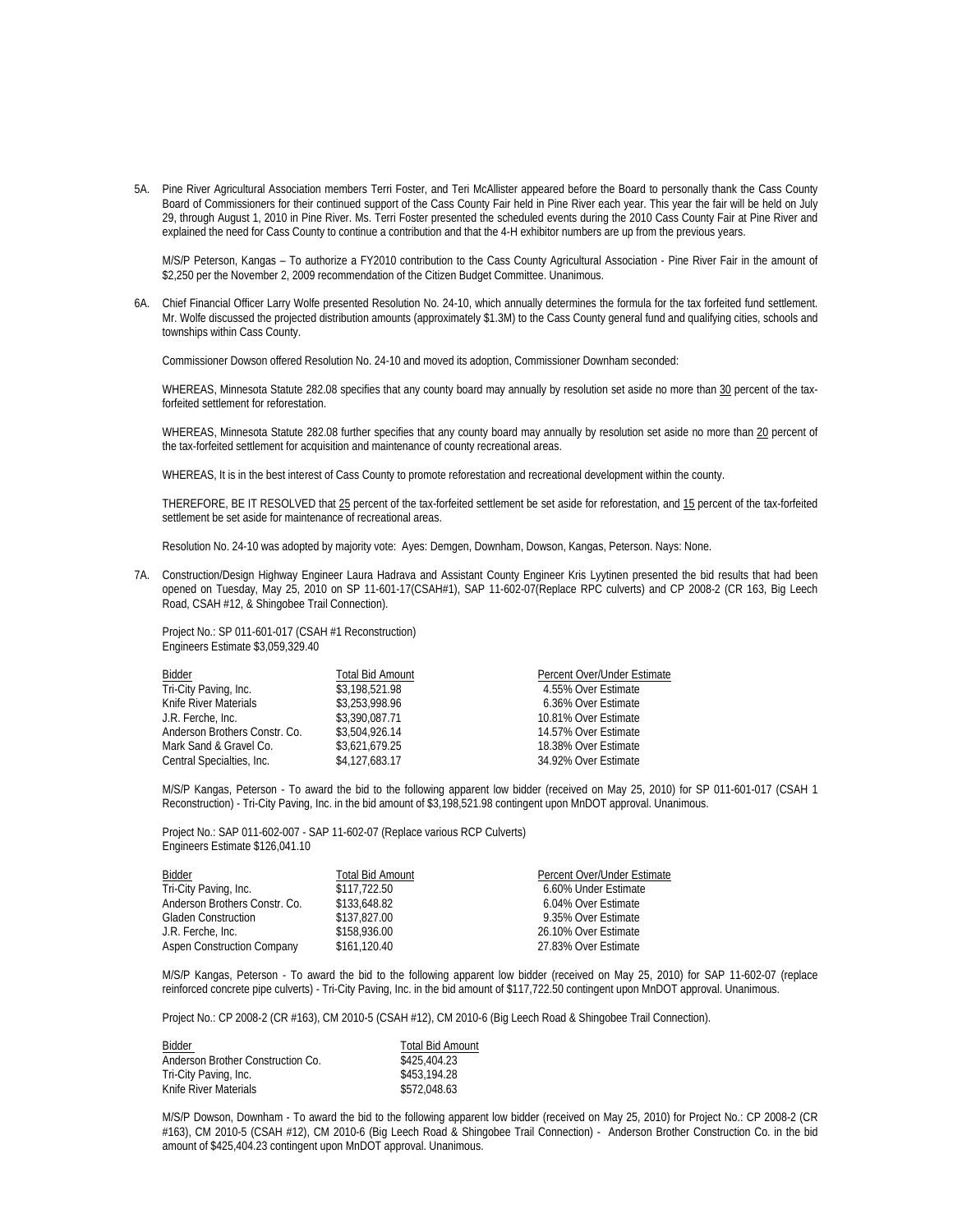5A. Pine River Agricultural Association members Terri Foster, and Teri McAllister appeared before the Board to personally thank the Cass County Board of Commissioners for their continued support of the Cass County Fair held in Pine River each year. This year the fair will be held on July 29, through August 1, 2010 in Pine River. Ms. Terri Foster presented the scheduled events during the 2010 Cass County Fair at Pine River and explained the need for Cass County to continue a contribution and that the 4-H exhibitor numbers are up from the previous years.

 M/S/P Peterson, Kangas – To authorize a FY2010 contribution to the Cass County Agricultural Association - Pine River Fair in the amount of \$2,250 per the November 2, 2009 recommendation of the Citizen Budget Committee. Unanimous.

6A. Chief Financial Officer Larry Wolfe presented Resolution No. 24-10, which annually determines the formula for the tax forfeited fund settlement. Mr. Wolfe discussed the projected distribution amounts (approximately \$1.3M) to the Cass County general fund and qualifying cities, schools and townships within Cass County.

Commissioner Dowson offered Resolution No. 24-10 and moved its adoption, Commissioner Downham seconded:

WHEREAS, Minnesota Statute 282.08 specifies that any county board may annually by resolution set aside no more than 30 percent of the taxforfeited settlement for reforestation.

WHEREAS, Minnesota Statute 282.08 further specifies that any county board may annually by resolution set aside no more than 20 percent of the tax-forfeited settlement for acquisition and maintenance of county recreational areas.

WHEREAS, It is in the best interest of Cass County to promote reforestation and recreational development within the county.

THEREFORE, BE IT RESOLVED that 25 percent of the tax-forfeited settlement be set aside for reforestation, and 15 percent of the tax-forfeited settlement be set aside for maintenance of recreational areas.

Resolution No. 24-10 was adopted by majority vote: Ayes: Demgen, Downham, Dowson, Kangas, Peterson. Nays: None.

7A. Construction/Design Highway Engineer Laura Hadrava and Assistant County Engineer Kris Lyytinen presented the bid results that had been opened on Tuesday, May 25, 2010 on SP 11-601-17(CSAH#1), SAP 11-602-07(Replace RPC culverts) and CP 2008-2 (CR 163, Big Leech Road, CSAH #12, & Shingobee Trail Connection).

Project No.: SP 011-601-017 (CSAH #1 Reconstruction) Engineers Estimate \$3,059,329.40

| Bidder                        | <b>Total Bid Amount</b> | Percent Over/Under Estimate |
|-------------------------------|-------------------------|-----------------------------|
| Tri-City Paving, Inc.         | \$3,198,521.98          | 4.55% Over Estimate         |
| Knife River Materials         | \$3,253,998.96          | 6.36% Over Estimate         |
| J.R. Ferche, Inc.             | \$3,390,087.71          | 10.81% Over Estimate        |
| Anderson Brothers Constr. Co. | \$3.504.926.14          | 14.57% Over Estimate        |
| Mark Sand & Gravel Co.        | \$3,621,679.25          | 18.38% Over Estimate        |
| Central Specialties, Inc.     | \$4,127,683.17          | 34.92% Over Estimate        |

M/S/P Kangas, Peterson - To award the bid to the following apparent low bidder (received on May 25, 2010) for SP 011-601-017 (CSAH 1 Reconstruction) - Tri-City Paving, Inc. in the bid amount of \$3,198,521.98 contingent upon MnDOT approval. Unanimous.

Project No.: SAP 011-602-007 - SAP 11-602-07 (Replace various RCP Culverts) Engineers Estimate \$126,041.10

| <b>Total Bid Amount</b> | Percent Over/Under Estimate |
|-------------------------|-----------------------------|
| \$117,722.50            | 6.60% Under Estimate        |
| \$133,648.82            | 6.04% Over Estimate         |
| \$137,827.00            | 9.35% Over Estimate         |
| \$158,936.00            | 26.10% Over Estimate        |
| \$161,120.40            | 27.83% Over Estimate        |
|                         |                             |

M/S/P Kangas, Peterson - To award the bid to the following apparent low bidder (received on May 25, 2010) for SAP 11-602-07 (replace reinforced concrete pipe culverts) - Tri-City Paving, Inc. in the bid amount of \$117,722.50 contingent upon MnDOT approval. Unanimous.

Project No.: CP 2008-2 (CR #163), CM 2010-5 (CSAH #12), CM 2010-6 (Big Leech Road & Shingobee Trail Connection).

| Bidder                            | <b>Total Bid Amount</b> |
|-----------------------------------|-------------------------|
| Anderson Brother Construction Co. | \$425,404.23            |
| Tri-City Paving, Inc.             | \$453,194.28            |
| Knife River Materials             | \$572,048.63            |

M/S/P Dowson, Downham - To award the bid to the following apparent low bidder (received on May 25, 2010) for Project No.: CP 2008-2 (CR #163), CM 2010-5 (CSAH #12), CM 2010-6 (Big Leech Road & Shingobee Trail Connection) - Anderson Brother Construction Co. in the bid amount of \$425,404.23 contingent upon MnDOT approval. Unanimous.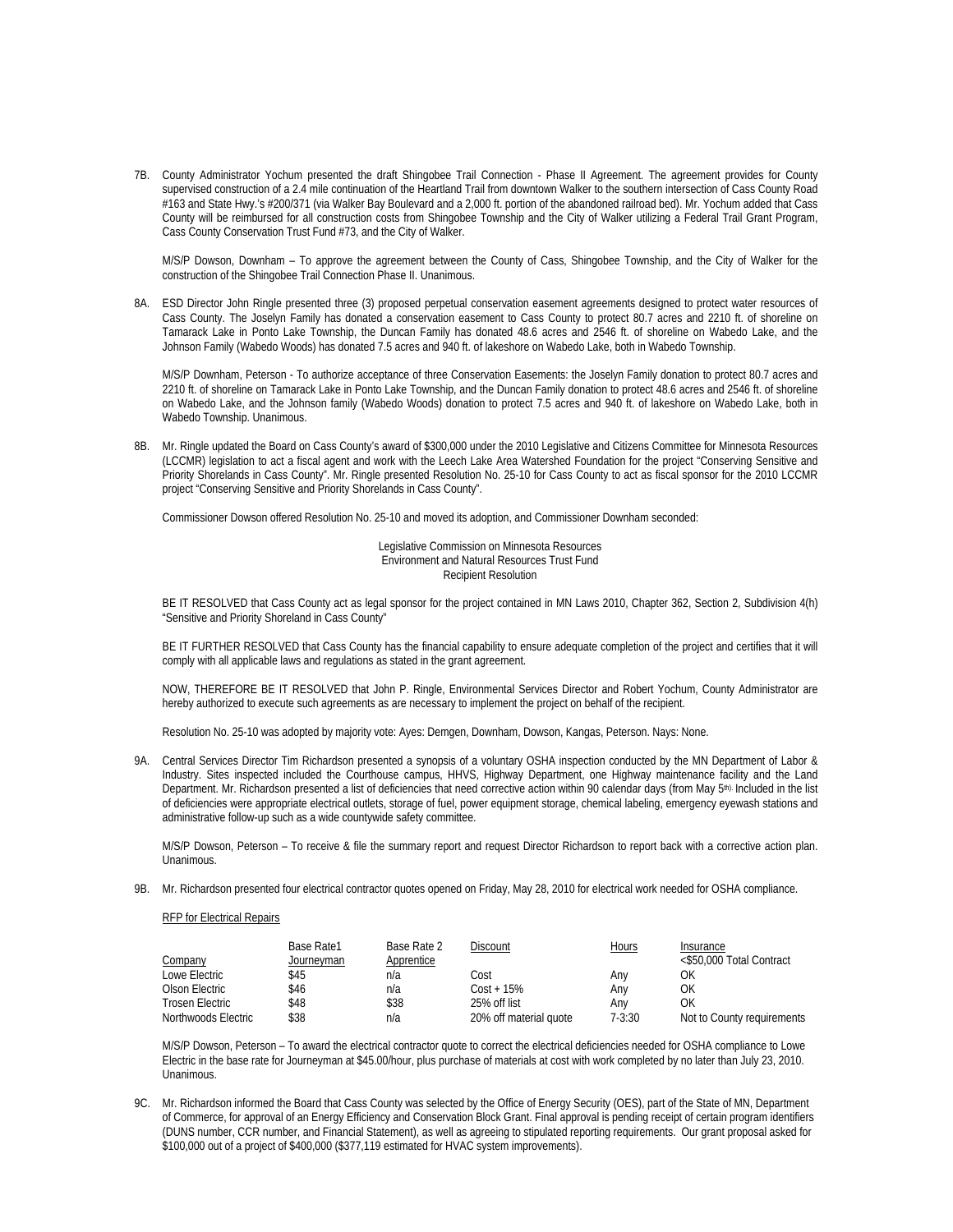7B. County Administrator Yochum presented the draft Shingobee Trail Connection - Phase II Agreement. The agreement provides for County supervised construction of a 2.4 mile continuation of the Heartland Trail from downtown Walker to the southern intersection of Cass County Road #163 and State Hwy.'s #200/371 (via Walker Bay Boulevard and a 2,000 ft. portion of the abandoned railroad bed). Mr. Yochum added that Cass County will be reimbursed for all construction costs from Shingobee Township and the City of Walker utilizing a Federal Trail Grant Program, Cass County Conservation Trust Fund #73, and the City of Walker.

 M/S/P Dowson, Downham – To approve the agreement between the County of Cass, Shingobee Township, and the City of Walker for the construction of the Shingobee Trail Connection Phase II. Unanimous.

8A. ESD Director John Ringle presented three (3) proposed perpetual conservation easement agreements designed to protect water resources of Cass County. The Joselyn Family has donated a conservation easement to Cass County to protect 80.7 acres and 2210 ft. of shoreline on Tamarack Lake in Ponto Lake Township, the Duncan Family has donated 48.6 acres and 2546 ft. of shoreline on Wabedo Lake, and the Johnson Family (Wabedo Woods) has donated 7.5 acres and 940 ft. of lakeshore on Wabedo Lake, both in Wabedo Township.

 M/S/P Downham, Peterson - To authorize acceptance of three Conservation Easements: the Joselyn Family donation to protect 80.7 acres and 2210 ft. of shoreline on Tamarack Lake in Ponto Lake Township, and the Duncan Family donation to protect 48.6 acres and 2546 ft. of shoreline on Wabedo Lake, and the Johnson family (Wabedo Woods) donation to protect 7.5 acres and 940 ft. of lakeshore on Wabedo Lake, both in Wabedo Township. Unanimous.

8B. Mr. Ringle updated the Board on Cass County's award of \$300,000 under the 2010 Legislative and Citizens Committee for Minnesota Resources (LCCMR) legislation to act a fiscal agent and work with the Leech Lake Area Watershed Foundation for the project "Conserving Sensitive and Priority Shorelands in Cass County". Mr. Ringle presented Resolution No. 25-10 for Cass County to act as fiscal sponsor for the 2010 LCCMR project "Conserving Sensitive and Priority Shorelands in Cass County".

Commissioner Dowson offered Resolution No. 25-10 and moved its adoption, and Commissioner Downham seconded:

Legislative Commission on Minnesota Resources Environment and Natural Resources Trust Fund Recipient Resolution

BE IT RESOLVED that Cass County act as legal sponsor for the project contained in MN Laws 2010, Chapter 362, Section 2, Subdivision 4(h) "Sensitive and Priority Shoreland in Cass County"

BE IT FURTHER RESOLVED that Cass County has the financial capability to ensure adequate completion of the project and certifies that it will comply with all applicable laws and regulations as stated in the grant agreement.

NOW, THEREFORE BE IT RESOLVED that John P. Ringle, Environmental Services Director and Robert Yochum, County Administrator are hereby authorized to execute such agreements as are necessary to implement the project on behalf of the recipient.

Resolution No. 25-10 was adopted by majority vote: Ayes: Demgen, Downham, Dowson, Kangas, Peterson. Nays: None.

9A. Central Services Director Tim Richardson presented a synopsis of a voluntary OSHA inspection conducted by the MN Department of Labor & Industry. Sites inspected included the Courthouse campus, HHVS, Highway Department, one Highway maintenance facility and the Land Department. Mr. Richardson presented a list of deficiencies that need corrective action within 90 calendar days (from May 5<sup>th).</sup> Included in the list of deficiencies were appropriate electrical outlets, storage of fuel, power equipment storage, chemical labeling, emergency eyewash stations and administrative follow-up such as a wide countywide safety committee.

 M/S/P Dowson, Peterson – To receive & file the summary report and request Director Richardson to report back with a corrective action plan. Unanimous.

9B. Mr. Richardson presented four electrical contractor quotes opened on Friday, May 28, 2010 for electrical work needed for OSHA compliance.

## RFP for Electrical Repairs

|                     | Base Rate1 | Base Rate 2 | Discount               | Hours  | Insurance                  |
|---------------------|------------|-------------|------------------------|--------|----------------------------|
| Company             | Journeyman | Apprentice  |                        |        | <\$50,000 Total Contract   |
| Lowe Electric       | \$45       | n/a         | Cost                   | Anv    | ΟK                         |
| Olson Electric      | \$46       | n/a         | $Cost + 15\%$          | Anv    | ΟK                         |
| Trosen Electric     | \$48       | \$38        | 25% off list           | Anv    | ΟK                         |
| Northwoods Electric | \$38       | n/a         | 20% off material quote | 7-3:30 | Not to County requirements |

M/S/P Dowson, Peterson – To award the electrical contractor quote to correct the electrical deficiencies needed for OSHA compliance to Lowe Electric in the base rate for Journeyman at \$45.00/hour, plus purchase of materials at cost with work completed by no later than July 23, 2010. Unanimous.

9C. Mr. Richardson informed the Board that Cass County was selected by the Office of Energy Security (OES), part of the State of MN, Department of Commerce, for approval of an Energy Efficiency and Conservation Block Grant. Final approval is pending receipt of certain program identifiers (DUNS number, CCR number, and Financial Statement), as well as agreeing to stipulated reporting requirements. Our grant proposal asked for \$100,000 out of a project of \$400,000 (\$377,119 estimated for HVAC system improvements).